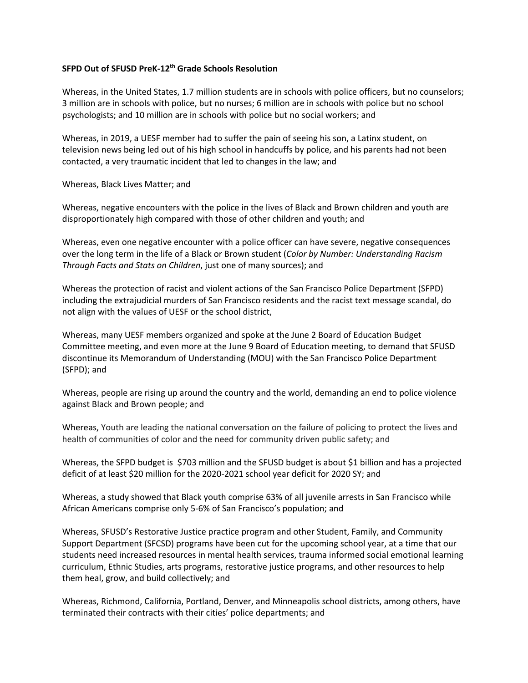## **SFPD Out of SFUSD PreK-12th Grade Schools Resolution**

Whereas, in the United States, 1.7 million students are in schools with police officers, but no counselors; 3 million are in schools with police, but no nurses; 6 million are in schools with police but no school psychologists; and 10 million are in schools with police but no social workers; and

Whereas, in 2019, a UESF member had to suffer the pain of seeing his son, a Latinx student, on television news being led out of his high school in handcuffs by police, and his parents had not been contacted, a very traumatic incident that led to changes in the law; and

Whereas, Black Lives Matter; and

Whereas, negative encounters with the police in the lives of Black and Brown children and youth are disproportionately high compared with those of other children and youth; and

Whereas, even one negative encounter with a police officer can have severe, negative consequences over the long term in the life of a Black or Brown student (*Color by Number: Understanding Racism Through Facts and Stats on Children*, just one of many sources); and

Whereas the protection of racist and violent actions of the San Francisco Police Department (SFPD) including the extrajudicial murders of San Francisco residents and the racist text message scandal, do not align with the values of UESF or the school district,

Whereas, many UESF members organized and spoke at the June 2 Board of Education Budget Committee meeting, and even more at the June 9 Board of Education meeting, to demand that SFUSD discontinue its Memorandum of Understanding (MOU) with the San Francisco Police Department (SFPD); and

Whereas, people are rising up around the country and the world, demanding an end to police violence against Black and Brown people; and

Whereas, Youth are leading the national conversation on the failure of policing to protect the lives and health of communities of color and the need for community driven public safety; and

Whereas, the SFPD budget is \$703 million and the SFUSD budget is about \$1 billion and has a projected deficit of at least \$20 million for the 2020-2021 school year deficit for 2020 SY; and

Whereas, a study showed that Black youth comprise 63% of all juvenile arrests in San Francisco while African Americans comprise only 5-6% of San Francisco's population; and

Whereas, SFUSD's Restorative Justice practice program and other Student, Family, and Community Support Department (SFCSD) programs have been cut for the upcoming school year, at a time that our students need increased resources in mental health services, trauma informed social emotional learning curriculum, Ethnic Studies, arts programs, restorative justice programs, and other resources to help them heal, grow, and build collectively; and

Whereas, Richmond, California, Portland, Denver, and Minneapolis school districts, among others, have terminated their contracts with their cities' police departments; and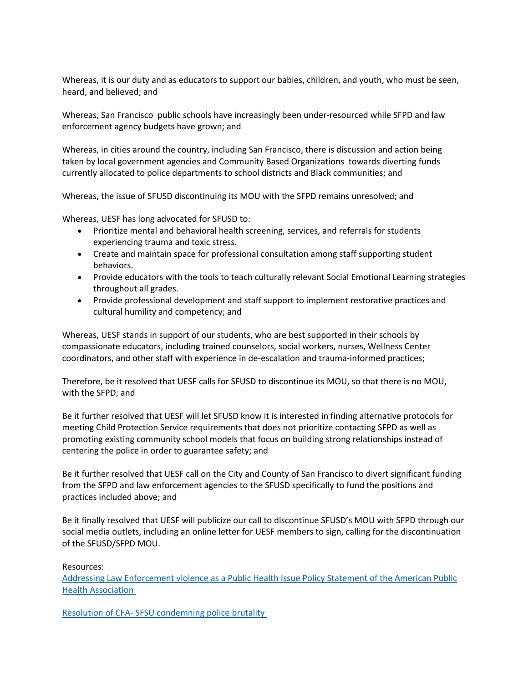Whereas, it is our duty and as educators to support our babies, children, and youth, who must be seen, heard, and believed; and

Whereas, San Francisco public schools have increasingly been under-resourced while SFPD and law enforcement agency budgets have grown; and

Whereas, in cities around the country, including San Francisco, there is discussion and action being taken by local government agencies and Community Based Organizations towards diverting funds currently allocated to police departments to school districts and Black communities; and

Whereas, the issue of SFUSD discontinuing its MOU with the SFPD remains unresolved; and

Whereas, UESF has long advocated for SFUSD to:

- Prioritize mental and behavioral health screening, services, and referrals for students experiencing trauma and toxic stress.
- Create and maintain space for professional consultation among staff supporting student behaviors.
- Provide educators with the tools to teach culturally relevant Social Emotional Learning strategies throughout all grades.
- Provide professional development and staff support to implement restorative practices and cultural humility and competency; and

Whereas, UESF stands in support of our students, who are best supported in their schools by compassionate educators, including trained counselors, social workers, nurses, Wellness Center coordinators, and other staff with experience in de-escalation and trauma-informed practices;

Therefore, be it resolved that UESF calls for SFUSD to discontinue its MOU, so that there is no MOU, with the SFPD; and

Be it further resolved that UESF will let SFUSD know it is interested in finding alternative protocols for meeting Child Protection Service requirements that does not prioritize contacting SFPD as well as promoting existing community school models that focus on building strong relationships instead of centering the police in order to guarantee safety; and

Be it further resolved that UESF call on the City and County of San Francisco to divert significant funding from the SFPD and law enforcement agencies to the SFUSD specifically to fund the positions and practices included above; and

Be it finally resolved that UESF will publicize our call to discontinue SFUSD's MOU with SFPD through our social media outlets, including an online letter for UESF members to sign, calling for the discontinuation of the SFUSD/SFPD MOU.

Resources:

Addressing Law Enforcement violence as a Public Health Issue Policy Statement of the American Public Health Association

Resolution of CFA- SFSU condemning police brutality